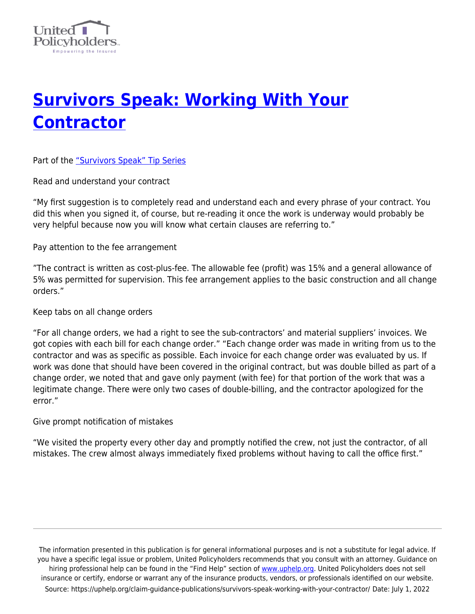

## **[Survivors Speak: Working With Your](https://uphelp.org/claim-guidance-publications/survivors-speak-working-with-your-contractor/) [Contractor](https://uphelp.org/claim-guidance-publications/survivors-speak-working-with-your-contractor/)**

Part of the ["Survivors Speak" Tip Series](https://uphelp.org/claim-guidance-publications/survivors-speak-tip-series/)

Read and understand your contract

"My first suggestion is to completely read and understand each and every phrase of your contract. You did this when you signed it, of course, but re-reading it once the work is underway would probably be very helpful because now you will know what certain clauses are referring to."

Pay attention to the fee arrangement

"The contract is written as cost-plus-fee. The allowable fee (profit) was 15% and a general allowance of 5% was permitted for supervision. This fee arrangement applies to the basic construction and all change orders."

Keep tabs on all change orders

"For all change orders, we had a right to see the sub-contractors' and material suppliers' invoices. We got copies with each bill for each change order." "Each change order was made in writing from us to the contractor and was as specific as possible. Each invoice for each change order was evaluated by us. If work was done that should have been covered in the original contract, but was double billed as part of a change order, we noted that and gave only payment (with fee) for that portion of the work that was a legitimate change. There were only two cases of double-billing, and the contractor apologized for the error."

Give prompt notification of mistakes

"We visited the property every other day and promptly notified the crew, not just the contractor, of all mistakes. The crew almost always immediately fixed problems without having to call the office first."

The information presented in this publication is for general informational purposes and is not a substitute for legal advice. If you have a specific legal issue or problem, United Policyholders recommends that you consult with an attorney. Guidance on hiring professional help can be found in the "Find Help" section of [www.uphelp.org.](http://www.uphelp.org/) United Policyholders does not sell insurance or certify, endorse or warrant any of the insurance products, vendors, or professionals identified on our website. Source: https://uphelp.org/claim-guidance-publications/survivors-speak-working-with-your-contractor/ Date: July 1, 2022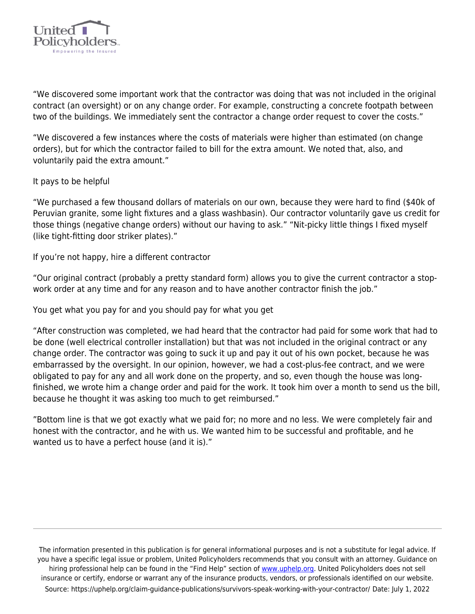

"We discovered some important work that the contractor was doing that was not included in the original contract (an oversight) or on any change order. For example, constructing a concrete footpath between two of the buildings. We immediately sent the contractor a change order request to cover the costs."

"We discovered a few instances where the costs of materials were higher than estimated (on change orders), but for which the contractor failed to bill for the extra amount. We noted that, also, and voluntarily paid the extra amount."

It pays to be helpful

"We purchased a few thousand dollars of materials on our own, because they were hard to find (\$40k of Peruvian granite, some light fixtures and a glass washbasin). Our contractor voluntarily gave us credit for those things (negative change orders) without our having to ask." "Nit-picky little things I fixed myself (like tight-fitting door striker plates)."

If you're not happy, hire a different contractor

"Our original contract (probably a pretty standard form) allows you to give the current contractor a stopwork order at any time and for any reason and to have another contractor finish the job."

You get what you pay for and you should pay for what you get

"After construction was completed, we had heard that the contractor had paid for some work that had to be done (well electrical controller installation) but that was not included in the original contract or any change order. The contractor was going to suck it up and pay it out of his own pocket, because he was embarrassed by the oversight. In our opinion, however, we had a cost-plus-fee contract, and we were obligated to pay for any and all work done on the property, and so, even though the house was longfinished, we wrote him a change order and paid for the work. It took him over a month to send us the bill, because he thought it was asking too much to get reimbursed."

"Bottom line is that we got exactly what we paid for; no more and no less. We were completely fair and honest with the contractor, and he with us. We wanted him to be successful and profitable, and he wanted us to have a perfect house (and it is)."

The information presented in this publication is for general informational purposes and is not a substitute for legal advice. If you have a specific legal issue or problem, United Policyholders recommends that you consult with an attorney. Guidance on hiring professional help can be found in the "Find Help" section of [www.uphelp.org.](http://www.uphelp.org/) United Policyholders does not sell insurance or certify, endorse or warrant any of the insurance products, vendors, or professionals identified on our website. Source: https://uphelp.org/claim-guidance-publications/survivors-speak-working-with-your-contractor/ Date: July 1, 2022